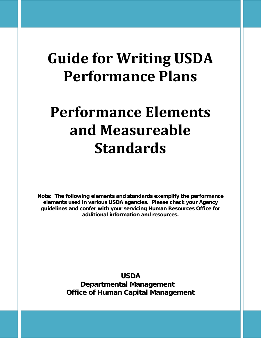## **Guide for Writing USDA Performance Plans**

# **Performance Elements and Measureable Standards**

**Note: The following elements and standards exemplify the performance elements used in various USDA agencies. Please check your Agency guidelines and confer with your servicing Human Resources Office for additional information and resources.** 

> **USDA Departmental Management Office of Human Capital Management**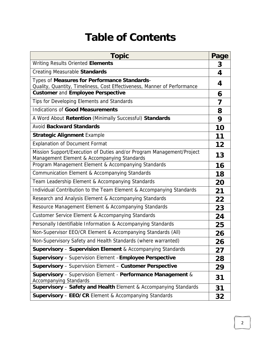## **Table of Contents**

| <b>Topic</b>                                                                                                             | Page |
|--------------------------------------------------------------------------------------------------------------------------|------|
| Writing Results Oriented Elements                                                                                        | 3    |
| <b>Creating Measurable Standards</b>                                                                                     | 4    |
| Types of Measures for Performance Standards-<br>Quality, Quantity, Timeliness, Cost Effectiveness, Manner of Performance | 4    |
| <b>Customer and Employee Perspective</b>                                                                                 | 6    |
| Tips for Developing Elements and Standards                                                                               | 7    |
| <b>Indications of Good Measurements</b>                                                                                  | 8    |
| A Word About Retention (Minimally Successful) Standards                                                                  | 9    |
| <b>Avoid Backward Standards</b>                                                                                          | 10   |
| <b>Strategic Alignment Example</b>                                                                                       | 11   |
| <b>Explanation of Document Format</b>                                                                                    | 12   |
| Mission Support/Execution of Duties and/or Program Management/Project<br>Management Element & Accompanying Standards     | 13   |
| Program Management Element & Accompanying Standards                                                                      | 16   |
| Communication Element & Accompanying Standards                                                                           | 18   |
| Team Leadership Element & Accompanying Standards                                                                         | 20   |
| Individual Contribution to the Team Element & Accompanying Standards                                                     | 21   |
| Research and Analysis Element & Accompanying Standards                                                                   | 22   |
| Resource Management Element & Accompanying Standards                                                                     | 23   |
| Customer Service Element & Accompanying Standards                                                                        | 24   |
| Personally Identifiable Information & Accompanying Standards                                                             | 25   |
| Non-Supervisor EEO/CR Element & Accompanying Standards (All)                                                             | 26   |
| Non-Supervisory Safety and Health Standards (where warranted)                                                            | 26   |
| <b>Supervisory - Supervision Element &amp; Accompanying Standards</b>                                                    | 27   |
| <b>Supervisory</b> - Supervision Element - Employee Perspective                                                          | 28   |
| <b>Supervisory</b> - Supervision Element - Customer Perspective                                                          | 29   |
| Supervisory - Supervision Element - Performance Management &<br><b>Accompanying Standards</b>                            | 31   |
| Supervisory - Safety and Health Element & Accompanying Standards                                                         | 31   |
| <b>Supervisory - EEO/CR Element &amp; Accompanying Standards</b>                                                         | 32   |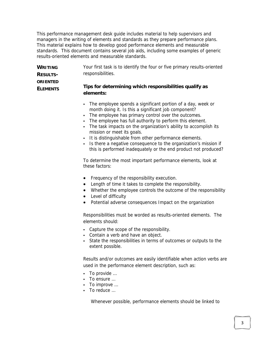This performance management desk guide includes material to help supervisors and managers in the writing of elements and standards as they prepare performance plans. This material explains how to develop good performance elements and measurable standards. This document contains several job aids, including some examples of generic results-oriented elements and measurable standards.

| <b>WRITING</b>  | Your first task is to identify the four or five primary results-oriented |
|-----------------|--------------------------------------------------------------------------|
| <b>RESULTS-</b> | responsibilities.                                                        |
| <b>ORIENTED</b> | Tips for determining which responsibilities qualify as                   |
| <b>ELEMENTS</b> | elements:                                                                |

- The employee spends a significant portion of a day, week or month doing it. Is this a significant job component?
- The employee has primary control over the outcomes.
- The employee has full authority to perform this element.
- The task impacts on the organization's ability to accomplish its mission or meet its goals.
- It is distinguishable from other performance elements.
- Is there a negative consequence to the organization's mission if this is performed inadequately or the end product not produced?

To determine the most important performance elements, look at these factors:

- Frequency of the responsibility execution.
- Length of time it takes to complete the responsibility.
- Whether the employee controls the outcome of the responsibility
- Level of difficulty
- Potential adverse consequences Impact on the organization

Responsibilities must be worded as results-oriented elements. The elements should:

- Capture the scope of the responsibility.
- Contain a verb and have an object.
- State the responsibilities in terms of outcomes or outputs to the extent possible.

Results and/or outcomes are easily identifiable when action verbs are used in the performance element description, such as:

- To provide …
- To ensure …
- To improve ...
- To reduce …

Whenever possible, performance elements should be linked to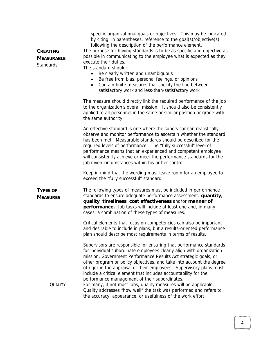| <b>CREATING</b><br><b>MEASURABLE</b><br><b>Standards</b> | specific organizational goals or objectives. This may be indicated<br>by citing, in parentheses, reference to the goal(s)/objective(s)<br>following the description of the performance element.<br>The purpose for having standards is to be as specific and objective as<br>possible in communicating to the employee what is expected as they<br>execute their duties.<br>The standard should:<br>Be clearly written and unambiguous<br>Be free from bias, personal feelings, or opinions<br>Contain finite measures that specify the line between<br>$\bullet$<br>satisfactory work and less-than-satisfactory work |
|----------------------------------------------------------|------------------------------------------------------------------------------------------------------------------------------------------------------------------------------------------------------------------------------------------------------------------------------------------------------------------------------------------------------------------------------------------------------------------------------------------------------------------------------------------------------------------------------------------------------------------------------------------------------------------------|
|                                                          | The measure should directly link the required performance of the job<br>to the organization's overall mission. It should also be consistently<br>applied to all personnel in the same or similar position or grade with<br>the same authority.                                                                                                                                                                                                                                                                                                                                                                         |
|                                                          | An effective standard is one where the supervisor can realistically<br>observe and monitor performance to ascertain whether the standard<br>has been met. Measurable standards should be described for the<br>required levels of performance. The "fully successful" level of<br>performance means that an experienced and competent employee<br>will consistently achieve or meet the performance standards for the<br>job given circumstances within his or her control.                                                                                                                                             |
|                                                          | Keep in mind that the wording must leave room for an employee to<br>exceed the "fully successful" standard.                                                                                                                                                                                                                                                                                                                                                                                                                                                                                                            |
| <b>TYPES OF</b><br><b>MEASURES</b>                       | The following types of measures must be included in performance<br>standards to ensure adequate performance assessment: quantity,<br>quality, timeliness, cost effectiveness and/or manner of<br>performance. Job tasks will include at least one and, in many<br>cases, a combination of these types of measures.                                                                                                                                                                                                                                                                                                     |
|                                                          | Critical elements that focus on competencies can also be important<br>and desirable to include in plans, but a results-oriented performance<br>plan should describe most requirements in terms of results.                                                                                                                                                                                                                                                                                                                                                                                                             |
|                                                          | Supervisors are responsible for ensuring that performance standards<br>for individual subordinate employees clearly align with organization<br>mission, Government Performance Results Act strategic goals, or<br>other program or policy objectives, and take into account the degree<br>of rigor in the appraisal of their employees. Supervisory plans must<br>include a critical element that includes accountability for the<br>performance management of their subordinates.                                                                                                                                     |
| <b>QUALITY</b>                                           | For many, if not most jobs, quality measures will be applicable.<br>Quality addresses "how well" the task was performed and refers to<br>the accuracy, appearance, or usefulness of the work effort.                                                                                                                                                                                                                                                                                                                                                                                                                   |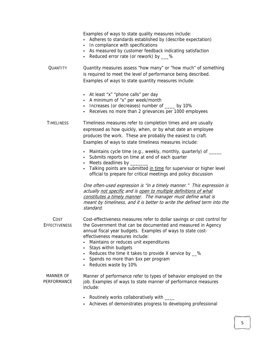Examples of ways to state quality measures include:

- Adheres to standards established by (describe expectation)
- In compliance with specifications
- As measured by customer feedback indicating satisfaction
- Reduced error rate (or rework) by \_\_\_%

QUANTITY Quantity measures assess "how many" or "how much" of something is required to meet the level of performance being described. Examples of ways to state quantity measures include:

- At least "x" "phone calls" per day
- A minimum of "x" per week/month
- Increases (or decreases) number of \_\_\_\_ by 10%
- Receives no more than 2 grievances per 1000 employees

TIMELINESS Timeliness measures refer to completion times and are usually expressed as how quickly, when, or by what date an employee produces the work. These are probably the easiest to craft. Examples of ways to state timeliness measures include:

- Maintains cycle time (e.g., weekly, monthly, quarterly) of \_\_\_\_\_
- Submits reports on time at end of each quarter
- Meets deadlines by \_
- Talking points are submitted in time for supervisor or higher level official to prepare for critical meetings and policy discussion

One often-used expression is "in a timely manner." This expression is actually not specific and is open to multiple definitions of what constitutes a timely manner. The manager must define what is meant by timeliness, and it is better to write the defined term into the standard.

COST **EFFECTIVENESS** Cost-effectiveness measures refer to dollar savings or cost control for the Government that can be documented and measured in Agency annual fiscal year budgets. Examples of ways to state costeffectiveness measures include:

- Maintains or reduces unit expenditures
- Stays within budgets
- Reduces the time it takes to provide X service by  $\_\infty$
- Spends no more than \$xx per program
- Reduces waste by 10%

MANNER OF PERFORMANCE

Manner of performance refer to types of behavior employed on the job. Examples of ways to state manner of performance measures include:

- Routinely works collaboratively with \_\_\_\_
- Achieves of demonstrates progress to developing professional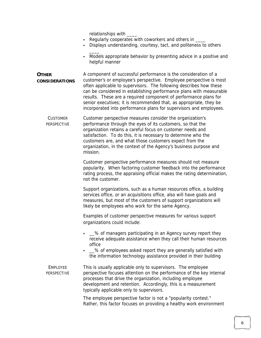relationships with

 $\overline{\phantom{a}}$ 

- Regularly cooperates with coworkers and others in \_\_\_\_
- Displays understanding, courtesy, tact, and politeness to others
- Models appropriate behavior by presenting advice in a positive and helpful manner
- **OTHER CONSIDERATIONS** A component of successful performance is the consideration of a customer's or employee's perspective. Employee perspective is most often applicable to supervisors. The following describes how these can be considered in establishing performance plans with measurable results. These are a required component of performance plans for senior executives; it is recommended that, as appropriate, they be incorporated into performance plans for supervisors and employees.
	- **CUSTOMER** PERSPECTIVE Customer perspective measures consider the organization's performance through the eyes of its customers, so that the organization retains a careful focus on customer needs and satisfaction. To do this, it is necessary to determine who the customers are, and what those customers expect from the organization, in the context of the Agency's business purpose and mission.

Customer perspective performance measures should not measure popularity. When factoring customer feedback into the performance rating process, the appraising official makes the rating determination, not the customer.

Support organizations, such as a human resources office, a building services office, or an acquisitions office, also will have goals and measures, but most of the customers of support organizations will likely be employees who work for the same Agency.

Examples of customer perspective measures for various support organizations could include:

- <u>S</u>% of managers participating in an Agency survey report they receive adequate assistance when they call their human resources office
- $\_\%$  of employees asked report they are generally satisfied with the information technology assistance provided in their building

EMPLOYEE PERSPECTIVE This is usually applicable only to supervisors. The employee perspective focuses attention on the performance of the key internal processes that drive the organization, including employee development and retention. Accordingly, this is a measurement typically applicable only to supervisors.

> The employee perspective factor is not a "popularity contest." Rather, this factor focuses on providing a healthy work environment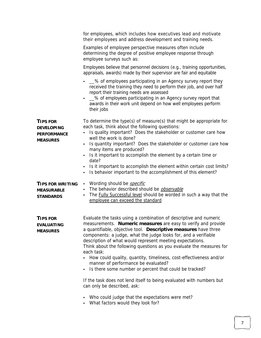|                                                                               | for employees, which includes how executives lead and motivate<br>their employees and address development and training needs.                                                                                                                                                                                                                                                                                                                                                                                                                                                                                                                                                                                                                                                                                                              |
|-------------------------------------------------------------------------------|--------------------------------------------------------------------------------------------------------------------------------------------------------------------------------------------------------------------------------------------------------------------------------------------------------------------------------------------------------------------------------------------------------------------------------------------------------------------------------------------------------------------------------------------------------------------------------------------------------------------------------------------------------------------------------------------------------------------------------------------------------------------------------------------------------------------------------------------|
|                                                                               | Examples of employee perspective measures often include<br>determining the degree of positive employee response through<br>employee surveys such as:                                                                                                                                                                                                                                                                                                                                                                                                                                                                                                                                                                                                                                                                                       |
|                                                                               | Employees believe that personnel decisions (e.g., training opportunities,<br>appraisals, awards) made by their supervisor are fair and equitable                                                                                                                                                                                                                                                                                                                                                                                                                                                                                                                                                                                                                                                                                           |
|                                                                               | -% of employees participating in an Agency survey report they<br>received the training they need to perform their job, and over half<br>report their training needs are assessed<br>-% of employees participating in an Agency survey report that<br>awards in their work unit depend on how well employees perform<br>their jobs                                                                                                                                                                                                                                                                                                                                                                                                                                                                                                          |
| <b>TIPS FOR</b><br><b>DEVELOPING</b><br><b>PERFORMANCE</b><br><b>MEASURES</b> | To determine the type(s) of measure(s) that might be appropriate for<br>each task, think about the following questions:<br>Is quality important? Does the stakeholder or customer care how<br>well the work is done?<br>Is quantity important? Does the stakeholder or customer care how<br>٠<br>many items are produced?<br>Is it important to accomplish the element by a certain time or<br>date?<br>Is it important to accomplish the element within certain cost limits?<br>٠<br>Is behavior important to the accomplishment of this element?<br>٠                                                                                                                                                                                                                                                                                    |
| <b>TIPS FOR WRITING</b><br><b>MEASURABLE</b><br><b>STANDARDS</b>              | Wording should be <i>specific</i><br>٠<br>The behavior described should be observable<br>٠<br>The Fully Successful level should be worded in such a way that the<br>٠<br>employee can exceed the standard                                                                                                                                                                                                                                                                                                                                                                                                                                                                                                                                                                                                                                  |
| <b>TIPS FOR</b><br><b>EVALUATING</b><br><b>MEASURES</b>                       | Evaluate the tasks using a combination of descriptive and numeric<br>measurements. Numeric measures are easy to verify and provide<br>a quantifiable, objective tool. Descriptive measures have three<br>components: a judge, what the judge looks for, and a verifiable<br>description of what would represent meeting expectations.<br>Think about the following questions as you evaluate the measures for<br>each task:<br>How could quality, quantity, timeliness, cost-effectiveness and/or<br>manner of performance be evaluated?<br>Is there some number or percent that could be tracked?<br>$\blacksquare$<br>If the task does not lend itself to being evaluated with numbers but<br>can only be described, ask:<br>Who could judge that the expectations were met?<br>$\blacksquare$<br>What factors would they look for?<br>٠ |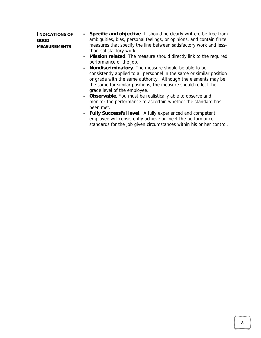**INDICATIONS OF GOOD MEASUREMENTS Specific and objective**. It should be clearly written, be free from ambiguities, bias, personal feelings, or opinions, and contain finite measures that specify the line between satisfactory work and lessthan-satisfactory work.

- **Mission related**. The measure should directly link to the required performance of the job.
- **Nondiscriminatory**. The measure should be able to be consistently applied to all personnel in the same or similar position or grade with the same authority. Although the elements may be the same for similar positions, the measure should reflect the grade level of the employee.
- **Observable**. You must be realistically able to observe and monitor the performance to ascertain whether the standard has been met.
- **Fully Successful level**. A fully experienced and competent employee will consistently achieve or meet the performance standards for the job given circumstances within his or her control.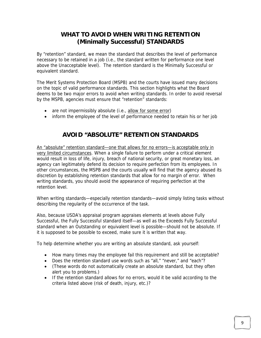#### **WHAT TO AVOID WHEN WRITING RETENTION (Minimally Successful) STANDARDS**

By "retention" standard, we mean the standard that describes the level of performance necessary to be retained in a job (i.e., the standard written for performance one level above the Unacceptable level). The retention standard is the Minimally Successful or equivalent standard.

The Merit Systems Protection Board (MSPB) and the courts have issued many decisions on the topic of valid performance standards. This section highlights what the Board deems to be two major errors to avoid when writing standards. In order to avoid reversal by the MSPB, agencies must ensure that "retention" standards:

- are not impermissibly absolute (i.e., allow for some error)
- inform the employee of the level of performance needed to retain his or her job

#### **AVOID "ABSOLUTE" RETENTION STANDARDS**

An "absolute" retention standard—one that allows for no errors—is acceptable only in very limited circumstances. When a single failure to perform under a critical element would result in loss of life, injury, breach of national security, or great monetary loss, an agency can legitimately defend its decision to require perfection from its employees. In other circumstances, the MSPB and the courts usually will find that the agency abused its discretion by establishing retention standards that allow for no margin of error. When writing standards, you should avoid the appearance of requiring perfection at the retention level.

When writing standards—especially retention standards—avoid simply listing tasks without describing the regularity of the occurrence of the task.

Also, because USDA's appraisal program appraises elements at levels above Fully Successful, the Fully Successful standard itself—as well as the Exceeds Fully Successful standard when an Outstanding or equivalent level is possible—should not be absolute. If it is supposed to be possible to exceed, make sure it is written that way.

To help determine whether you are writing an absolute standard, ask yourself:

- How many times may the employee fail this requirement and still be acceptable?
- Does the retention standard use words such as "all," "never," and "each"?
- (These words do not automatically create an absolute standard, but they often alert you to problems.)
- If the retention standard allows for no errors, would it be valid according to the criteria listed above (risk of death, injury, etc.)?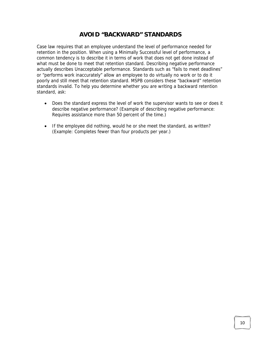#### **AVOID "BACKWARD" STANDARDS**

Case law requires that an employee understand the level of performance needed for retention in the position. When using a Minimally Successful level of performance, a common tendency is to describe it in terms of work that does not get done instead of what must be done to meet that retention standard. Describing negative performance actually describes Unacceptable performance. Standards such as "fails to meet deadlines" or "performs work inaccurately" allow an employee to do virtually no work or to do it poorly and still meet that retention standard. MSPB considers these "backward" retention standards invalid. To help you determine whether you are writing a backward retention standard, ask:

- Does the standard express the level of work the supervisor wants to see or does it describe negative performance? (Example of describing negative performance: Requires assistance more than 50 percent of the time.)
- If the employee did nothing, would he or she meet the standard, as written? (Example: Completes fewer than four products per year.)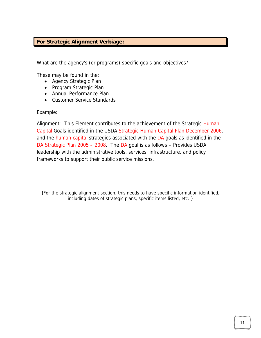#### **For Strategic Alignment Verbiage:**

What are the agency's (or programs) specific goals and objectives?

These may be found in the:

- Agency Strategic Plan
- Program Strategic Plan
- Annual Performance Plan
- Customer Service Standards

Example:

Alignment: This Element contributes to the achievement of the Strategic Human Capital Goals identified in the USDA Strategic Human Capital Plan December 2006, and the human capital strategies associated with the DA goals as identified in the DA Strategic Plan 2005 – 2008. The DA goal is as follows – Provides USDA leadership with the administrative tools, services, infrastructure, and policy frameworks to support their public service missions.

{For the strategic alignment section, this needs to have specific information identified, including dates of strategic plans, specific items listed, etc. }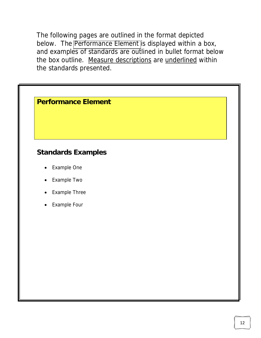The following pages are outlined in the format depicted below. The Performance Element is displayed within a box, and examples of standards are outlined in bullet format below the box outline. Measure descriptions are underlined within the standards presented.

| <b>Performance Element</b> |  |
|----------------------------|--|
|----------------------------|--|

### **Standards Examples**

- Example One
- Example Two
- **Example Three**
- **Example Four**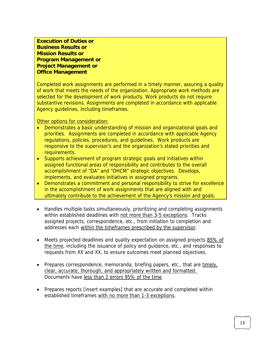**Execution of Duties or Business Results or Mission Results or Program Management or Project Management or Office Management** 

Completed work assignments are performed in a timely manner, assuring a quality of work that meets the needs of the organization. Appropriate work methods are selected for the development of work products. Work products do not require substantive revisions. Assignments are completed in accordance with applicable Agency guidelines, including timeframes.

Other options for consideration:

- Demonstrates a basic understanding of mission and organizational goals and priorities. Assignments are completed in accordance with applicable Agency regulations, policies, procedures, and guidelines. Work products are responsive to the supervisor's and the organization's stated priorities and requirements.
- Supports achievement of program strategic goals and initiatives within assigned functional areas of responsibility and contributes to the overall accomplishment of "DA" and "OHCM" strategic objectives. Develops, implements, and evaluates initiatives in assigned programs.
- Demonstrates a commitment and personal responsibility to strive for excellence in the accomplishment of work assignments that are aligned with and ultimately contribute to the achievement of the Agency's mission and goals.
- Handles multiple tasks simultaneously, prioritizing and completing assignments within established deadlines with not more than 3-5 exceptions. Tracks assigned projects, correspondence, etc., from initiation to completion and addresses each within the timeframes prescribed by the supervisor.
- Meets projected deadlines and quality expectation on assigned projects 85% of the time, including the issuance of policy and quidance, etc., and responses to requests from XX and XX, to ensure outcomes meet planned objectives.
- Prepares correspondence, memoranda, briefing papers, etc., that are timely, clear, accurate, thorough, and appropriately written and formatted. Documents have less than 2 errors 95% of the time.
- Prepares reports [insert examples] that are accurate and completed within established timeframes with no more than 1-3 exceptions.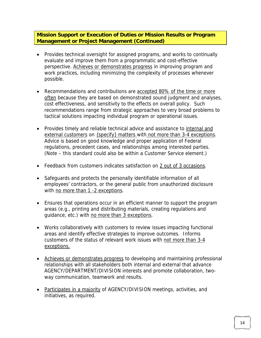**Mission Support or Execution of Duties or Mission Results or Program Management or Project Management (Continued)** 

- Provides technical oversight for assigned programs, and works to continually evaluate and improve them from a programmatic and cost-effective perspective. Achieves or demonstrates progress in improving program and work practices, including minimizing the complexity of processes whenever possible.
- Recommendations and contributions are accepted 80% of the time or more often because they are based on demonstrated sound judgment and analyses, cost effectiveness, and sensitivity to the effects on overall policy. Such recommendations range from strategic approaches to very broad problems to tactical solutions impacting individual program or operational issues.
- Provides timely and reliable technical advice and assistance to internal and external customers on {specify} matters with not more than 3-4 exceptions. Advice is based on good knowledge and proper application of Federal regulations, precedent cases, and relationships among interested parties. (Note – this standard could also be within a Customer Service element.)
- Feedback from customers indicates satisfaction on 2 out of 3 occasions.
- Safeguards and protects the personally identifiable information of all employees' contractors, or the general public from unauthorized disclosure with no more than 1 -2 exceptions.
- Ensures that operations occur in an efficient manner to support the program areas (e.g., printing and distributing materials, creating regulations and guidance, etc.) with no more than 3 exceptions.
- Works collaboratively with customers to review issues impacting functional areas and identify effective strategies to improve outcomes. Informs customers of the status of relevant work issues with not more than 3-4 exceptions.
- Achieves or demonstrates progress to developing and maintaining professional relationships with all stakeholders both internal and external that advance AGENCY/DEPARTMENT/DIVISION interests and promote collaboration, twoway communication, teamwork and results.
- Participates in a majority of AGENCY/DIVISION meetings, activities, and initiatives, as required.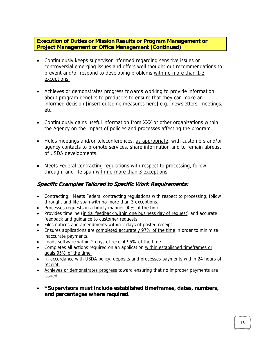**Execution of Duties or Mission Results or Program Management or Project Management or Office Management (Continued)** 

- Continuously keeps supervisor informed regarding sensitive issues or controversial emerging issues and offers well thought-out recommendations to prevent and/or respond to developing problems with no more than 1-3 exceptions.
- Achieves or demonstrates progress towards working to provide information about program benefits to producers to ensure that they can make an informed decision [insert outcome measures here] e.g., newsletters, meetings, etc.
- Continuously gains useful information from XXX or other organizations within the Agency on the impact of policies and processes affecting the program.
- Holds meetings and/or teleconferences, as appropriate, with customers and/or agency contacts to promote services, share information and to remain abreast of USDA developments.
- Meets Federal contracting regulations with respect to processing, follow through, and life span with no more than 3 exceptions

#### **Specific Examples Tailored to Specific Work Requirements:**

- Contracting: Meets Federal contracting regulations with respect to processing, follow through, and life span with no more than 3 exceptions.
- Processes requests in a timely manner 90% of the time.
- Provides timeline (initial feedback within one business day of request) and accurate feedback and guidance to customer requests.
- Files notices and amendments within 2 days of posted receipt.
- Ensures applications are completed accurately 97% of the time in order to minimize inaccurate payments.
- Loads software within 2 days of receipt 95% of the time.
- Completes all actions required on an application within established timeframes or goals 95% of the time.
- In accordance with USDA policy, deposits and processes payments within 24 hours of receipt.
- Achieves or demonstrates progress toward ensuring that no improper payments are issued.
- **\*Supervisors must include established timeframes, dates, numbers, and percentages where required.**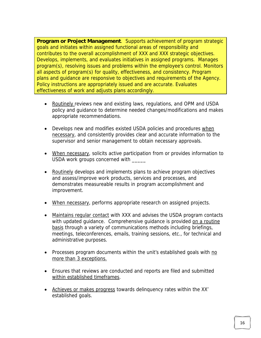**Program or Project Management**. Supports achievement of program strategic goals and initiates within assigned functional areas of responsibility and contributes to the overall accomplishment of XXX and XXX strategic objectives. Develops, implements, and evaluates initiatives in assigned programs. Manages program(s), resolving issues and problems within the employee's control. Monitors all aspects of program(s) for quality, effectiveness, and consistency. Program plans and guidance are responsive to objectives and requirements of the Agency. Policy instructions are appropriately issued and are accurate. Evaluates effectiveness of work and adjusts plans accordingly.

- Routinely reviews new and existing laws, regulations, and OPM and USDA policy and guidance to determine needed changes/modifications and makes appropriate recommendations.
- Develops new and modifies existed USDA policies and procedures when necessary, and consistently provides clear and accurate information to the supervisor and senior management to obtain necessary approvals.
- When necessary, solicits active participation from or provides information to USDA work groups concerned with
- Routinely develops and implements plans to achieve program objectives and assess/improve work products, services and processes, and demonstrates measureable results in program accomplishment and improvement.
- When necessary, performs appropriate research on assigned projects.
- Maintains regular contact with XXX and advises the USDA program contacts with updated guidance. Comprehensive guidance is provided on a routine basis through a variety of communications methods including briefings, meetings, teleconferences, emails, training sessions, etc., for technical and administrative purposes.
- Processes program documents within the unit's established goals with no more than 3 exceptions.
- Ensures that reviews are conducted and reports are filed and submitted within established timeframes.
- Achieves or makes progress towards delinquency rates within the XX' established goals.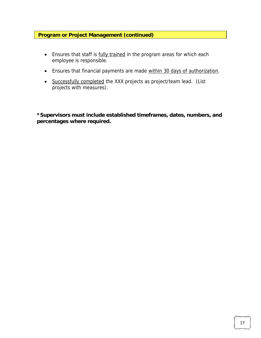#### **Program or Project Management (continued)**

- Ensures that staff is fully trained in the program areas for which each employee is responsible.
- Ensures that financial payments are made within 30 days of authorization.
- Successfully completed the XXX projects as project/team lead. (List projects with measures).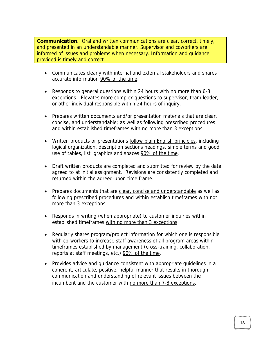**Communication**. Oral and written communications are clear, correct, timely, and presented in an understandable manner. Supervisor and coworkers are informed of issues and problems when necessary. Information and guidance provided is timely and correct.

- Communicates clearly with internal and external stakeholders and shares accurate information 90% of the time.
- Responds to general questions within 24 hours with no more than 6-8 exceptions. Elevates more complex questions to supervisor, team leader, or other individual responsible within 24 hours of inquiry.
- Prepares written documents and/or presentation materials that are clear, concise, and understandable; as well as following prescribed procedures and within established timeframes with no more than 3 exceptions.
- Written products or presentations follow plain English principles, including logical organization, description sections headings, simple terms and good use of tables, list, graphics and spaces 90% of the time.
- Draft written products are completed and submitted for review by the date agreed to at initial assignment. Revisions are consistently completed and returned within the agreed-upon time frame.
- Prepares documents that are clear, concise and understandable as well as following prescribed procedures and within establish timeframes with not more than 3 exceptions.
- Responds in writing (when appropriate) to customer inquiries within established timeframes with no more than 3 exceptions.
- Regularly shares program/project information for which one is responsible with co-workers to increase staff awareness of all program areas within timeframes established by management (cross-training, collaboration, reports at staff meetings, etc.) 90% of the time.
- Provides advice and guidance consistent with appropriate guidelines in a coherent, articulate, positive, helpful manner that results in thorough communication and understanding of relevant issues between the incumbent and the customer with no more than 7-8 exceptions.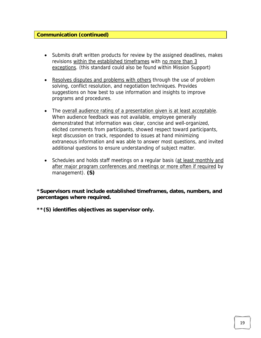#### **Communication (continued)**

- Submits draft written products for review by the assigned deadlines, makes revisions within the established timeframes with no more than 3 exceptions. (this standard could also be found within Mission Support)
- Resolves disputes and problems with others through the use of problem solving, conflict resolution, and negotiation techniques. Provides suggestions on how best to use information and insights to improve programs and procedures.
- The overall audience rating of a presentation given is at least acceptable. When audience feedback was not available, employee generally demonstrated that information was clear, concise and well-organized, elicited comments from participants, showed respect toward participants, kept discussion on track, responded to issues at hand minimizing extraneous information and was able to answer most questions, and invited additional questions to ensure understanding of subject matter.
- Schedules and holds staff meetings on a regular basis (at least monthly and after major program conferences and meetings or more often if required by management). **(S)**

**\*Supervisors must include established timeframes, dates, numbers, and percentages where required.**

**\*\*(S) identifies objectives as supervisor only.**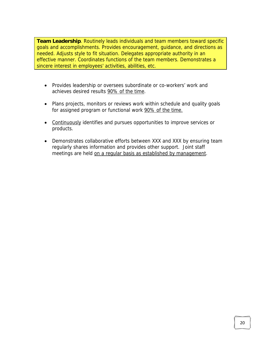**Team Leadership**. Routinely leads individuals and team members toward specific goals and accomplishments. Provides encouragement, guidance, and directions as needed. Adjusts style to fit situation. Delegates appropriate authority in an effective manner. Coordinates functions of the team members. Demonstrates a sincere interest in employees' activities, abilities, etc.

- Provides leadership or oversees subordinate or co-workers' work and achieves desired results 90% of the time.
- Plans projects, monitors or reviews work within schedule and quality goals for assigned program or functional work 90% of the time.
- Continuously identifies and pursues opportunities to improve services or products.
- Demonstrates collaborative efforts between XXX and XXX by ensuring team regularly shares information and provides other support. Joint staff meetings are held on a regular basis as established by management.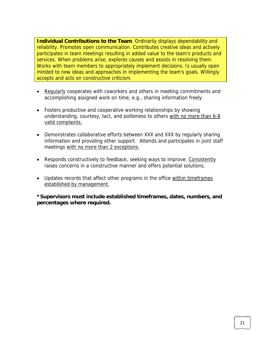**Individual Contributions to the Team**. Ordinarily displays dependability and reliability. Promotes open communication. Contributes creative ideas and actively participates in team meetings resulting in added value to the team's products and services. When problems arise, explores causes and assists in resolving them. Works with team members to appropriately implement decisions. Is usually open minded to new ideas and approaches in implementing the team's goals. Willingly accepts and acts on constructive criticism.

- Regularly cooperates with coworkers and others in meeting commitments and accomplishing assigned work on time; e.g., sharing information freely.
- Fosters productive and cooperative working relationships by showing understanding, courtesy, tact, and politeness to others with no more than 6-8 valid complaints.
- Demonstrates collaborative efforts between XXX and XXX by regularly sharing information and providing other support. Attends and participates in joint staff meetings with no more than 2 exceptions.
- Responds constructively to feedback, seeking ways to improve. Consistently raises concerns in a constructive manner and offers potential solutions.
- Updates records that affect other programs in the office within timeframes established by management.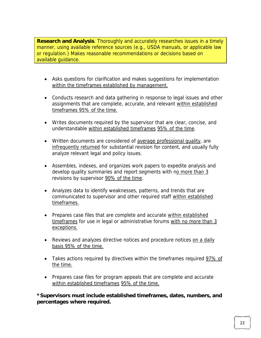**Research and Analysis**. Thoroughly and accurately researches issues in a timely manner, using available reference sources (e.g., USDA manuals, or applicable law or regulation.) Makes reasonable recommendations or decisions based on available guidance.

- Asks questions for clarification and makes suggestions for implementation within the timeframes established by management.
- Conducts research and data gathering in response to legal issues and other assignments that are complete, accurate, and relevant within established timeframes 95% of the time.
- Writes documents required by the supervisor that are clear, concise, and understandable within established timeframes 95% of the time.
- Written documents are considered of average professional quality, are infrequently returned for substantial revision for content, and usually fully analyze relevant legal and policy issues.
- Assembles, indexes, and organizes work papers to expedite analysis and develop quality summaries and report segments with no more than 3 revisions by supervisor 90% of the time.
- Analyzes data to identify weaknesses, patterns, and trends that are communicated to supervisor and other required staff within established timeframes.
- Prepares case files that are complete and accurate within established timeframes for use in legal or administrative forums with no more than 3 exceptions.
- Reviews and analyzes directive notices and procedure notices on a daily basis 95% of the time.
- Takes actions required by directives within the timeframes required 97% of the time.
- Prepares case files for program appeals that are complete and accurate within established timeframes 95% of the time.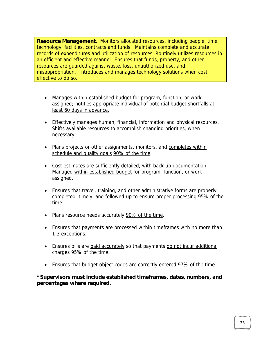**Resource Management.** Monitors allocated resources, including people, time, technology, facilities, contracts and funds. Maintains complete and accurate records of expenditures and utilization of resources. Routinely utilizes resources in an efficient and effective manner. Ensures that funds, property, and other resources are guarded against waste, loss, unauthorized use, and misappropriation. Introduces and manages technology solutions when cost effective to do so.

- Manages within established budget for program, function, or work assigned; notifies appropriate individual of potential budget shortfalls at least 60 days in advance.
- Effectively manages human, financial, information and physical resources. Shifts available resources to accomplish changing priorities, when necessary.
- Plans projects or other assignments, monitors, and completes within schedule and quality goals 90% of the time.
- Cost estimates are sufficiently detailed, with back-up documentation. Managed within established budget for program, function, or work assigned.
- Ensures that travel, training, and other administrative forms are properly completed, timely, and followed-up to ensure proper processing 95% of the time.
- Plans resource needs accurately 90% of the time.
- Ensures that payments are processed within timeframes with no more than 1-3 exceptions.
- Ensures bills are paid accurately so that payments do not incur additional charges 95% of the time.
- Ensures that budget object codes are correctly entered 97% of the time.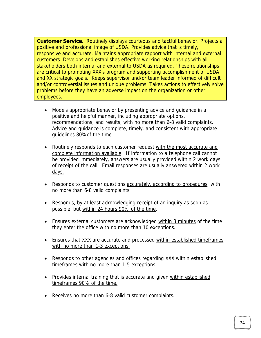**Customer Service**. Routinely displays courteous and tactful behavior. Projects a positive and professional image of USDA. Provides advice that is timely, responsive and accurate. Maintains appropriate rapport with internal and external customers. Develops and establishes effective working relationships with all stakeholders both internal and external to USDA as required. These relationships are critical to promoting XXX's program and supporting accomplishment of USDA and XX strategic goals. Keeps supervisor and/or team leader informed of difficult and/or controversial issues and unique problems. Takes actions to effectively solve problems before they have an adverse impact on the organization or other employees.

- Models appropriate behavior by presenting advice and guidance in a positive and helpful manner, including appropriate options, recommendations, and results, with no more than 6-8 valid complaints. Advice and guidance is complete, timely, and consistent with appropriate guidelines 80%of the time.
- Routinely responds to each customer request with the most accurate and complete information available. If information to a telephone call cannot be provided immediately, answers are usually provided within 2 work days of receipt of the call. Email responses are usually answered within 2 work days.
- Responds to customer questions accurately, according to procedures, with no more than 6-8 valid complaints.
- Responds, by at least acknowledging receipt of an inquiry as soon as possible, but within 24 hours 90% of the time.
- Ensures external customers are acknowledged within 3 minutes of the time they enter the office with no more than 10 exceptions.
- Ensures that XXX are accurate and processed within established timeframes with no more than 1-3 exceptions.
- Responds to other agencies and offices regarding XXX within established timeframes with no more than 1-5 exceptions.
- Provides internal training that is accurate and given within established timeframes 90% of the time.
- Receives no more than 6-8 valid customer complaints.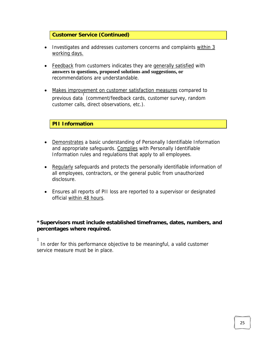#### **Customer Service (Continued)**

- Investigates and addresses customers concerns and complaints within 3 working days.
- Feedback from customers indicates they are generally satisfied with **answers to questions, proposed solutions and suggestions, or** recommendations are understandable.
- Makes improvement on customer satisfaction measures compared to previous data (comment/feedback cards, customer survey, random customer calls, direct observations, etc.).

#### **PII Information**

- Demonstrates a basic understanding of Personally Identifiable Information and appropriate safeguards. Complies with Personally Identifiable Information rules and regulations that apply to all employees.
- Regularly safeguards and protects the personally identifiable information of all employees, contractors, or the general public from unauthorized disclosure.
- Ensures all reports of PII loss are reported to a supervisor or designated official within 48 hours.

#### **\*Supervisors must include established timeframes, dates, numbers, and percentages where required.**

1

 In order for this performance objective to be meaningful, a valid customer service measure must be in place.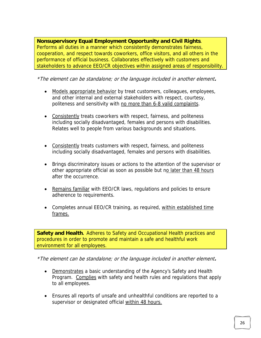**Nonsupervisory Equal Employment Opportunity and Civil Rights**. Performs all duties in a manner which consistently demonstrates fairness, cooperation, and respect towards coworkers, office visitors, and all others in the performance of official business. Collaborates effectively with customers and stakeholders to advance EEO/CR objectives within assigned areas of responsibility.

\*The element can be standalone; or the language included in another element**.**

- Models appropriate behavior by treat customers, colleagues, employees, and other internal and external stakeholders with respect, courtesy, politeness and sensitivity with no more than 6-8 valid complaints.
- Consistently treats coworkers with respect, fairness, and politeness including socially disadvantaged, females and persons with disabilities. Relates well to people from various backgrounds and situations.
- Consistently treats customers with respect, fairness, and politeness including socially disadvantaged, females and persons with disabilities.
- Brings discriminatory issues or actions to the attention of the supervisor or other appropriate official as soon as possible but no later than 48 hours after the occurrence.
- Remains familiar with EEO/CR laws, regulations and policies to ensure adherence to requirements.
- Completes annual EEO/CR training, as required, within established time frames.

**Safety and Health.** Adheres to Safety and Occupational Health practices and procedures in order to promote and maintain a safe and healthful work environment for all employees.

\*The element can be standalone; or the language included in another element**.**

- Demonstrates a basic understanding of the Agency's Safety and Health Program. Complies with safety and health rules and regulations that apply to all employees.
- Ensures all reports of unsafe and unhealthful conditions are reported to a supervisor or designated official within 48 hours.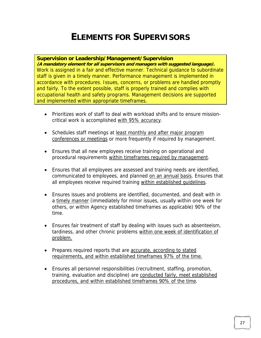### **ELEMENTS FOR SUPERVISORS**

#### **Supervision or Leadership/Management/Supervision**

**(A mandatory element for all supervisors and managers with suggested language).**  Work is assigned in a fair and effective manner. Technical guidance to subordinate staff is given in a timely manner. Performance management is implemented in accordance with procedures. Issues, concerns, or problems are handled promptly and fairly. To the extent possible, staff is properly trained and complies with occupational health and safety programs. Management decisions are supported and implemented within appropriate timeframes.

- Prioritizes work of staff to deal with workload shifts and to ensure missioncritical work is accomplished with 95% accuracy.
- Schedules staff meetings at least monthly and after major program conferences or meetings or more frequently if required by management.
- Ensures that all new employees receive training on operational and procedural requirements within timeframes required by management.
- Ensures that all employees are assessed and training needs are identified, communicated to employees, and planned on an annual basis. Ensures that all employees receive required training within established guidelines.
- Ensures issues and problems are identified, documented, and dealt with in a timely manner (immediately for minor issues, usually within one week for others, or within Agency established timeframes as applicable) 90% of the time.
- Ensures fair treatment of staff by dealing with issues such as absenteeism, tardiness, and other chronic problems within one week of identification of problem.
- Prepares required reports that are accurate, according to stated requirements, and within established timeframes 97% of the time.
- Ensures all personnel responsibilities (recruitment, staffing, promotion, training, evaluation and discipline) are conducted fairly, meet established procedures, and within established timeframes 90% of the time.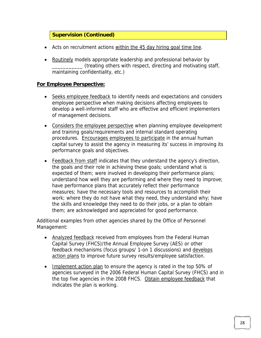#### **Supervision (Continued)**

- Acts on recruitment actions within the 45 day hiring goal time line.
- Routinely models appropriate leadership and professional behavior by \_\_\_\_\_\_\_\_\_\_\_ (treating others with respect, directing and motivating staff, maintaining confidentiality, etc.)

#### **For Employee Perspective:**

- Seeks employee feedback to identify needs and expectations and considers employee perspective when making decisions affecting employees to develop a well-informed staff who are effective and efficient implementers of management decisions.
- Considers the employee perspective when planning employee development and training goals/requirements and internal standard operating procedures. Encourages employees to participate in the annual human capital survey to assist the agency in measuring its' success in improving its performance goals and objectives.
- Feedback from staff indicates that they understand the agency's direction, the goals and their role in achieving these goals; understand what is expected of them; were involved in developing their performance plans; understand how well they are performing and where they need to improve; have performance plans that accurately reflect their performance measures; have the necessary tools and resources to accomplish their work; where they do not have what they need, they understand why; have the skills and knowledge they need to do their jobs, or a plan to obtain them; are acknowledged and appreciated for good performance.

Additional examples from other agencies shared by the Office of Personnel Management:

- Analyzed feedback received from employees from the Federal Human Capital Survey (FHCS)/the Annual Employee Survey (AES) or other feedback mechanisms (focus groups/ 1-on 1 discussions) and develops action plans to improve future survey results/employee satisfaction.
- Implement action plan to ensure the agency is rated in the top 50% of agencies surveyed in the 2006 Federal Human Capital Survey (FHCS) and in the top five agencies in the 2008 FHCS. Obtain employee feedback that indicates the plan is working.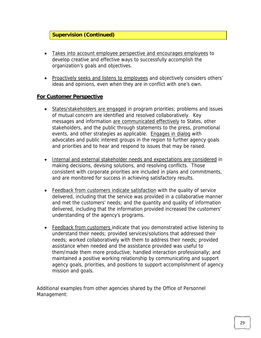#### **Supervision (Continued)**

- Takes into account employee perspective and encourages employees to develop creative and effective ways to successfully accomplish the organization's goals and objectives.
- Proactively seeks and listens to employees and objectively considers others' ideas and opinions, even when they are in conflict with one's own.

#### **For Customer Perspective**

- States/stakeholders are engaged in program priorities; problems and issues of mutual concern are identified and resolved collaboratively. Key messages and information are communicated effectively to States, other stakeholders, and the public through statements to the press, promotional events, and other strategies as applicable. Engages in dialog with advocates and public interest groups in the region to further agency goals and priorities and to hear and respond to issues that may be raised.
- Internal and external stakeholder needs and expectations are considered in making decisions, devising solutions, and resolving conflicts. Those consistent with corporate priorities are included in plans and commitments, and are monitored for success in achieving satisfactory results.
- Feedback from customers indicate satisfaction with the quality of service delivered, including that the service was provided in a collaborative manner and met the customers' needs; and the quantity and quality of information delivered, including that the information provided increased the customers' understanding of the agency's programs.
- Feedback from customers indicate that you demonstrated active listening to understand their needs; provided services/solutions that addressed their needs; worked collaboratively with them to address their needs; provided assistance when needed and the assistance provided was useful to them/made them more productive; handled interaction professionally; and maintained a positive working relationship by communicating and support agency goals, priorities, and positions to support accomplishment of agency mission and goals.

Additional examples from other agencies shared by the Office of Personnel Management: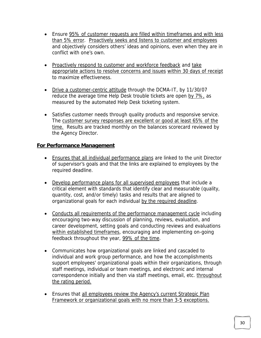- Ensure 95% of customer requests are filled within timeframes and with less than 5% error. Proactively seeks and listens to customer and employees and objectively considers others' ideas and opinions, even when they are in conflict with one's own.
- Proactively respond to customer and workforce feedback and take appropriate actions to resolve concerns and issues within 30 days of receipt to maximize effectiveness.
- Drive a customer-centric attitude through the DCMA-IT, by 11/30/07 reduce the average time Help Desk trouble tickets are open by 7%, as measured by the automated Help Desk ticketing system.
- Satisfies customer needs through quality products and responsive service. The customer survey responses are excellent or good at least 65% of the time. Results are tracked monthly on the balances scorecard reviewed by the Agency Director.

#### **For Performance Management**

- Ensures that all individual performance plans are linked to the unit Director of supervisor's goals and that the links are explained to employees by the required deadline.
- Develop performance plans for all supervised employees that include a critical element with standards that identify clear and measurable (quality, quantity, cost, and/or timely) tasks and results that are aligned to organizational goals for each individual by the required deadline.
- Conducts all requirements of the performance management cycle including encouraging two-way discussion of planning, reviews, evaluation, and career development, setting goals and conducting reviews and evaluations within established timeframes, encouraging and implementing on-going feedback throughout the year, 99% of the time.
- Communicates how organizational goals are linked and cascaded to individual and work group performance, and how the accomplishments support employees' organizational goals within their organizations, through staff meetings, individual or team meetings, and electronic and internal correspondence initially and then via staff meetings, email, etc. throughout the rating period.
- Ensures that all employees review the Agency's current Strategic Plan Framework or organizational goals with no more than 3-5 exceptions.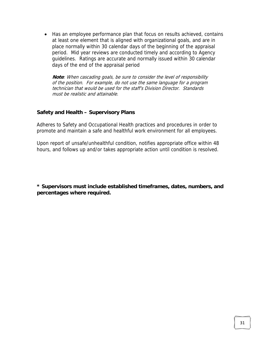• Has an employee performance plan that focus on results achieved, contains at least one element that is aligned with organizational goals, and are in place normally within 30 calendar days of the beginning of the appraisal period. Mid year reviews are conducted timely and according to Agency guidelines. Ratings are accurate and normally issued within 30 calendar days of the end of the appraisal period

**Note**: When cascading goals, be sure to consider the level of responsibility of the position. For example, do not use the same language for a program technician that would be used for the staff's Division Director. Standards must be realistic and attainable.

#### **Safety and Health – Supervisory Plans**

Adheres to Safety and Occupational Health practices and procedures in order to promote and maintain a safe and healthful work environment for all employees.

Upon report of unsafe/unhealthful condition, notifies appropriate office within 48 hours, and follows up and/or takes appropriate action until condition is resolved.